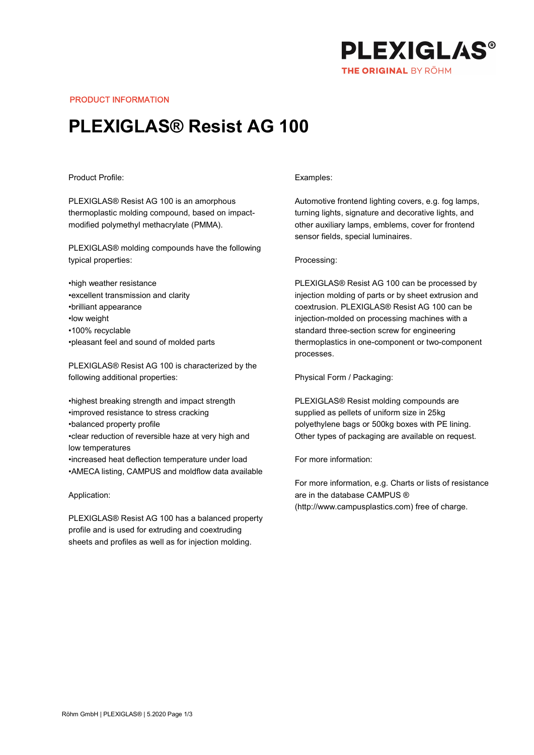

PRODUCT INFORMATION

# PLEXIGLAS® Resist AG 100

## Product Profile:

PLEXIGLAS® Resist AG 100 is an amorphous thermoplastic molding compound, based on impactmodified polymethyl methacrylate (PMMA).

PLEXIGLAS® molding compounds have the following typical properties:

•high weather resistance •excellent transmission and clarity •brilliant appearance •low weight •100% recyclable •pleasant feel and sound of molded parts

PLEXIGLAS® Resist AG 100 is characterized by the following additional properties:

•highest breaking strength and impact strength •improved resistance to stress cracking •balanced property profile •clear reduction of reversible haze at very high and low temperatures •increased heat deflection temperature under load •AMECA listing, CAMPUS and moldflow data available

#### Application:

PLEXIGLAS® Resist AG 100 has a balanced property profile and is used for extruding and coextruding sheets and profiles as well as for injection molding.

## Examples:

Automotive frontend lighting covers, e.g. fog lamps, turning lights, signature and decorative lights, and other auxiliary lamps, emblems, cover for frontend sensor fields, special luminaires.

#### Processing:

PLEXIGLAS® Resist AG 100 can be processed by injection molding of parts or by sheet extrusion and coextrusion. PLEXIGLAS® Resist AG 100 can be injection-molded on processing machines with a standard three-section screw for engineering thermoplastics in one-component or two-component processes.

Physical Form / Packaging:

PLEXIGLAS® Resist molding compounds are supplied as pellets of uniform size in 25kg polyethylene bags or 500kg boxes with PE lining. Other types of packaging are available on request.

For more information:

For more information, e.g. Charts or lists of resistance are in the database CAMPUS ® (http://www.campusplastics.com) free of charge.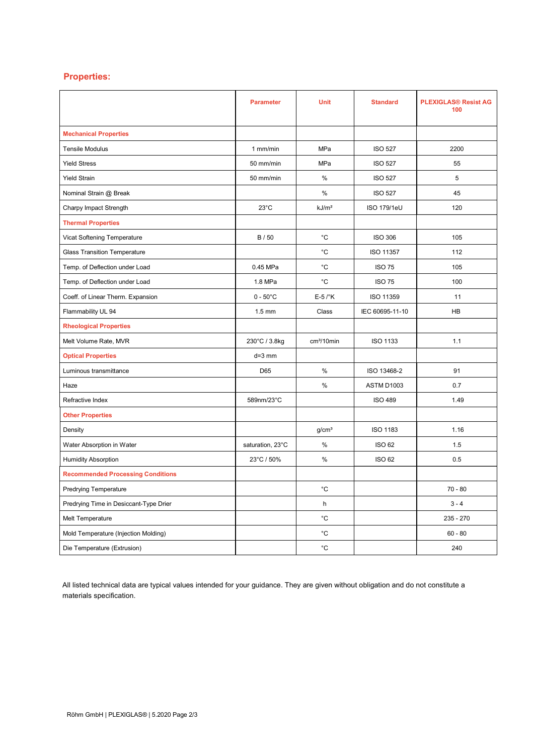# Properties:

|                                          | <b>Parameter</b>   | <b>Unit</b>          | <b>Standard</b> | <b>PLEXIGLAS® Resist AG</b><br>100 |
|------------------------------------------|--------------------|----------------------|-----------------|------------------------------------|
| <b>Mechanical Properties</b>             |                    |                      |                 |                                    |
| <b>Tensile Modulus</b>                   | $1$ mm/min         | MPa                  | <b>ISO 527</b>  | 2200                               |
| <b>Yield Stress</b>                      | 50 mm/min          | MPa                  | <b>ISO 527</b>  | 55                                 |
| <b>Yield Strain</b>                      | 50 mm/min          | $\%$                 | <b>ISO 527</b>  | 5                                  |
| Nominal Strain @ Break                   |                    | $\%$                 | <b>ISO 527</b>  | 45                                 |
| Charpy Impact Strength                   | $23^{\circ}$ C     | kJ/m <sup>2</sup>    | ISO 179/1eU     | 120                                |
| <b>Thermal Properties</b>                |                    |                      |                 |                                    |
| Vicat Softening Temperature              | B/50               | °C                   | <b>ISO 306</b>  | 105                                |
| <b>Glass Transition Temperature</b>      |                    | °C                   | ISO 11357       | 112                                |
| Temp. of Deflection under Load           | 0.45 MPa           | $^{\circ}$ C         | <b>ISO 75</b>   | 105                                |
| Temp. of Deflection under Load           | 1.8 MPa            | °C                   | <b>ISO 75</b>   | 100                                |
| Coeff. of Linear Therm. Expansion        | $0 - 50^{\circ}$ C | $E-5$ / $\mathrm{K}$ | ISO 11359       | 11                                 |
| Flammability UL 94                       | $1.5 \text{ mm}$   | Class                | IEC 60695-11-10 | HB                                 |
| <b>Rheological Properties</b>            |                    |                      |                 |                                    |
| Melt Volume Rate, MVR                    | 230°C / 3.8kg      | $cm3/10$ min         | <b>ISO 1133</b> | 1.1                                |
| <b>Optical Properties</b>                | $d=3$ mm           |                      |                 |                                    |
| Luminous transmittance                   | D65                | $\frac{0}{0}$        | ISO 13468-2     | 91                                 |
| Haze                                     |                    | %                    | ASTM D1003      | 0.7                                |
| Refractive Index                         | 589nm/23°C         |                      | <b>ISO 489</b>  | 1.49                               |
| <b>Other Properties</b>                  |                    |                      |                 |                                    |
| Density                                  |                    | g/cm <sup>3</sup>    | <b>ISO 1183</b> | 1.16                               |
| Water Absorption in Water                | saturation, 23°C   | $\frac{0}{0}$        | <b>ISO 62</b>   | 1.5                                |
| <b>Humidity Absorption</b>               | 23°C / 50%         | $\%$                 | <b>ISO 62</b>   | 0.5                                |
| <b>Recommended Processing Conditions</b> |                    |                      |                 |                                    |
| <b>Predrying Temperature</b>             |                    | °C                   |                 | $70 - 80$                          |
| Predrying Time in Desiccant-Type Drier   |                    | h                    |                 | $3 - 4$                            |
| Melt Temperature                         |                    | °C                   |                 | 235 - 270                          |
| Mold Temperature (Injection Molding)     |                    | °C                   |                 | $60 - 80$                          |
| Die Temperature (Extrusion)              |                    | °C                   |                 | 240                                |

All listed technical data are typical values intended for your guidance. They are given without obligation and do not constitute a materials specification.